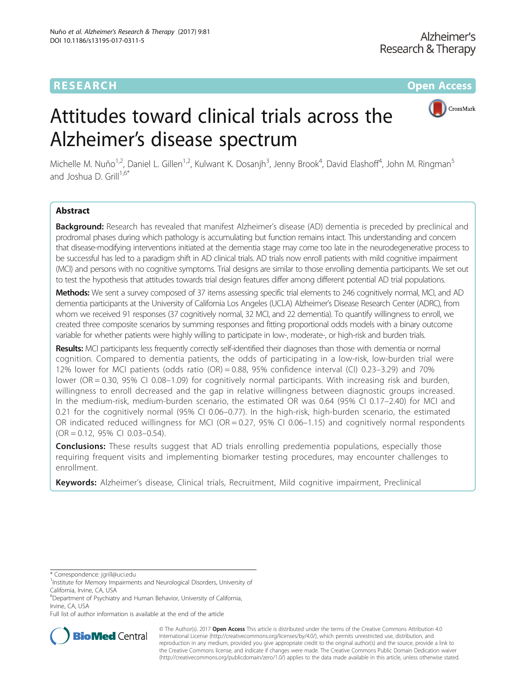## RESEARCH **RESEARCH CONSUMING THE CONSUMING THE CONSUMING THE CONSUMING TEAM Open Access**



# Attitudes toward clinical trials across the Alzheimer's disease spectrum

Michelle M. Nuño<sup>1,2</sup>, Daniel L. Gillen<sup>1,2</sup>, Kulwant K. Dosanjh<sup>3</sup>, Jenny Brook<sup>4</sup>, David Elashoff<sup>4</sup>, John M. Ringman<sup>5</sup> and Joshua D. Grill<sup>1,6\*</sup>

## Abstract

Background: Research has revealed that manifest Alzheimer's disease (AD) dementia is preceded by preclinical and prodromal phases during which pathology is accumulating but function remains intact. This understanding and concern that disease-modifying interventions initiated at the dementia stage may come too late in the neurodegenerative process to be successful has led to a paradigm shift in AD clinical trials. AD trials now enroll patients with mild cognitive impairment (MCI) and persons with no cognitive symptoms. Trial designs are similar to those enrolling dementia participants. We set out to test the hypothesis that attitudes towards trial design features differ among different potential AD trial populations.

Methods: We sent a survey composed of 37 items assessing specific trial elements to 246 cognitively normal, MCI, and AD dementia participants at the University of California Los Angeles (UCLA) Alzheimer's Disease Research Center (ADRC), from whom we received 91 responses (37 cognitively normal, 32 MCI, and 22 dementia). To quantify willingness to enroll, we created three composite scenarios by summing responses and fitting proportional odds models with a binary outcome variable for whether patients were highly willing to participate in low-, moderate-, or high-risk and burden trials.

Results: MCI participants less frequently correctly self-identified their diagnoses than those with dementia or normal cognition. Compared to dementia patients, the odds of participating in a low-risk, low-burden trial were 12% lower for MCI patients (odds ratio (OR) = 0.88, 95% confidence interval (CI) 0.23–3.29) and 70% lower (OR = 0.30, 95% CI 0.08-1.09) for cognitively normal participants. With increasing risk and burden, willingness to enroll decreased and the gap in relative willingness between diagnostic groups increased. In the medium-risk, medium-burden scenario, the estimated OR was 0.64 (95% CI 0.17–2.40) for MCI and 0.21 for the cognitively normal (95% CI 0.06–0.77). In the high-risk, high-burden scenario, the estimated OR indicated reduced willingness for MCI (OR = 0.27, 95% CI 0.06-1.15) and cognitively normal respondents (OR = 0.12, 95% CI 0.03–0.54).

**Conclusions:** These results suggest that AD trials enrolling predementia populations, especially those requiring frequent visits and implementing biomarker testing procedures, may encounter challenges to enrollment.

Keywords: Alzheimer's disease, Clinical trials, Recruitment, Mild cognitive impairment, Preclinical

\* Correspondence: [jgrill@uci.edu](mailto:jgrill@uci.edu) <sup>1</sup>

Full list of author information is available at the end of the article



© The Author(s). 2017 **Open Access** This article is distributed under the terms of the Creative Commons Attribution 4.0 International License [\(http://creativecommons.org/licenses/by/4.0/](http://creativecommons.org/licenses/by/4.0/)), which permits unrestricted use, distribution, and reproduction in any medium, provided you give appropriate credit to the original author(s) and the source, provide a link to the Creative Commons license, and indicate if changes were made. The Creative Commons Public Domain Dedication waiver [\(http://creativecommons.org/publicdomain/zero/1.0/](http://creativecommons.org/publicdomain/zero/1.0/)) applies to the data made available in this article, unless otherwise stated.

<sup>&</sup>lt;sup>1</sup>Institute for Memory Impairments and Neurological Disorders, University of California, Irvine, CA, USA

<sup>&</sup>lt;sup>6</sup>Department of Psychiatry and Human Behavior, University of California, Irvine, CA, USA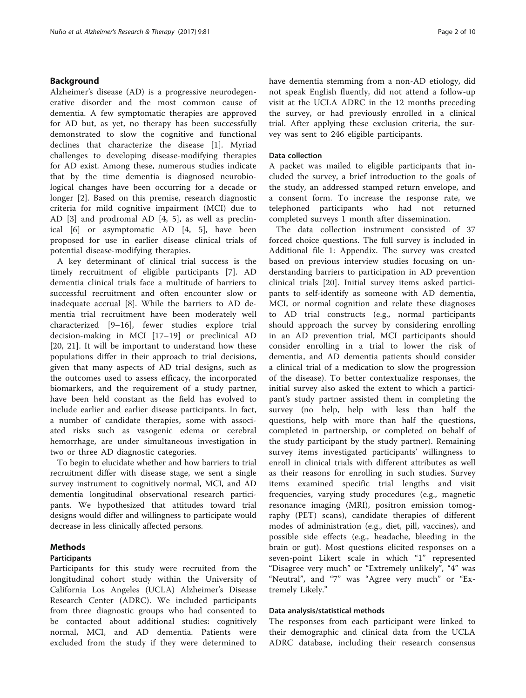## Background

Alzheimer's disease (AD) is a progressive neurodegenerative disorder and the most common cause of dementia. A few symptomatic therapies are approved for AD but, as yet, no therapy has been successfully demonstrated to slow the cognitive and functional declines that characterize the disease [\[1](#page-8-0)]. Myriad challenges to developing disease-modifying therapies for AD exist. Among these, numerous studies indicate that by the time dementia is diagnosed neurobiological changes have been occurring for a decade or longer [[2\]](#page-8-0). Based on this premise, research diagnostic criteria for mild cognitive impairment (MCI) due to AD [[3\]](#page-8-0) and prodromal AD [[4, 5\]](#page-8-0), as well as preclinical [[6\]](#page-8-0) or asymptomatic AD [\[4](#page-8-0), [5\]](#page-8-0), have been proposed for use in earlier disease clinical trials of potential disease-modifying therapies.

A key determinant of clinical trial success is the timely recruitment of eligible participants [[7\]](#page-8-0). AD dementia clinical trials face a multitude of barriers to successful recruitment and often encounter slow or inadequate accrual [[8\]](#page-8-0). While the barriers to AD dementia trial recruitment have been moderately well characterized [\[9](#page-8-0)–[16](#page-8-0)], fewer studies explore trial decision-making in MCI [\[17](#page-8-0)–[19](#page-8-0)] or preclinical AD [[20, 21](#page-8-0)]. It will be important to understand how these populations differ in their approach to trial decisions, given that many aspects of AD trial designs, such as the outcomes used to assess efficacy, the incorporated biomarkers, and the requirement of a study partner, have been held constant as the field has evolved to include earlier and earlier disease participants. In fact, a number of candidate therapies, some with associated risks such as vasogenic edema or cerebral hemorrhage, are under simultaneous investigation in two or three AD diagnostic categories.

To begin to elucidate whether and how barriers to trial recruitment differ with disease stage, we sent a single survey instrument to cognitively normal, MCI, and AD dementia longitudinal observational research participants. We hypothesized that attitudes toward trial designs would differ and willingness to participate would decrease in less clinically affected persons.

## Methods

## Participants

Participants for this study were recruited from the longitudinal cohort study within the University of California Los Angeles (UCLA) Alzheimer's Disease Research Center (ADRC). We included participants from three diagnostic groups who had consented to be contacted about additional studies: cognitively normal, MCI, and AD dementia. Patients were excluded from the study if they were determined to have dementia stemming from a non-AD etiology, did not speak English fluently, did not attend a follow-up visit at the UCLA ADRC in the 12 months preceding the survey, or had previously enrolled in a clinical trial. After applying these exclusion criteria, the survey was sent to 246 eligible participants.

## Data collection

A packet was mailed to eligible participants that included the survey, a brief introduction to the goals of the study, an addressed stamped return envelope, and a consent form. To increase the response rate, we telephoned participants who had not returned completed surveys 1 month after dissemination.

The data collection instrument consisted of 37 forced choice questions. The full survey is included in Additional file [1](#page-8-0): Appendix. The survey was created based on previous interview studies focusing on understanding barriers to participation in AD prevention clinical trials [[20\]](#page-8-0). Initial survey items asked participants to self-identify as someone with AD dementia, MCI, or normal cognition and relate these diagnoses to AD trial constructs (e.g., normal participants should approach the survey by considering enrolling in an AD prevention trial, MCI participants should consider enrolling in a trial to lower the risk of dementia, and AD dementia patients should consider a clinical trial of a medication to slow the progression of the disease). To better contextualize responses, the initial survey also asked the extent to which a participant's study partner assisted them in completing the survey (no help, help with less than half the questions, help with more than half the questions, completed in partnership, or completed on behalf of the study participant by the study partner). Remaining survey items investigated participants' willingness to enroll in clinical trials with different attributes as well as their reasons for enrolling in such studies. Survey items examined specific trial lengths and visit frequencies, varying study procedures (e.g., magnetic resonance imaging (MRI), positron emission tomography (PET) scans), candidate therapies of different modes of administration (e.g., diet, pill, vaccines), and possible side effects (e.g., headache, bleeding in the brain or gut). Most questions elicited responses on a seven-point Likert scale in which "1" represented "Disagree very much" or "Extremely unlikely", "4" was "Neutral", and "7" was "Agree very much" or "Extremely Likely."

## Data analysis/statistical methods

The responses from each participant were linked to their demographic and clinical data from the UCLA ADRC database, including their research consensus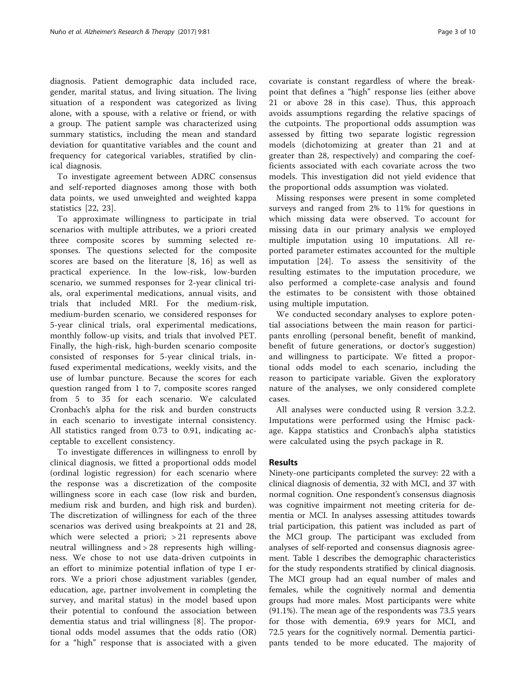diagnosis. Patient demographic data included race, gender, marital status, and living situation. The living situation of a respondent was categorized as living alone, with a spouse, with a relative or friend, or with a group. The patient sample was characterized using summary statistics, including the mean and standard deviation for quantitative variables and the count and frequency for categorical variables, stratified by clinical diagnosis.

To investigate agreement between ADRC consensus and self-reported diagnoses among those with both data points, we used unweighted and weighted kappa statistics [[22, 23\]](#page-9-0).

To approximate willingness to participate in trial scenarios with multiple attributes, we a priori created three composite scores by summing selected responses. The questions selected for the composite scores are based on the literature [\[8](#page-8-0), [16\]](#page-8-0) as well as practical experience. In the low-risk, low-burden scenario, we summed responses for 2-year clinical trials, oral experimental medications, annual visits, and trials that included MRI. For the medium-risk, medium-burden scenario, we considered responses for 5-year clinical trials, oral experimental medications, monthly follow-up visits, and trials that involved PET. Finally, the high-risk, high-burden scenario composite consisted of responses for 5-year clinical trials, infused experimental medications, weekly visits, and the use of lumbar puncture. Because the scores for each question ranged from 1 to 7, composite scores ranged from 5 to 35 for each scenario. We calculated Cronbach's alpha for the risk and burden constructs in each scenario to investigate internal consistency. All statistics ranged from 0.73 to 0.91, indicating acceptable to excellent consistency.

To investigate differences in willingness to enroll by clinical diagnosis, we fitted a proportional odds model (ordinal logistic regression) for each scenario where the response was a discretization of the composite willingness score in each case (low risk and burden, medium risk and burden, and high risk and burden). The discretization of willingness for each of the three scenarios was derived using breakpoints at 21 and 28, which were selected a priori; > 21 represents above neutral willingness and > 28 represents high willingness. We chose to not use data-driven cutpoints in an effort to minimize potential inflation of type I errors. We a priori chose adjustment variables (gender, education, age, partner involvement in completing the survey, and marital status) in the model based upon their potential to confound the association between dementia status and trial willingness [[8\]](#page-8-0). The proportional odds model assumes that the odds ratio (OR) for a "high" response that is associated with a given

covariate is constant regardless of where the breakpoint that defines a "high" response lies (either above 21 or above 28 in this case). Thus, this approach avoids assumptions regarding the relative spacings of the cutpoints. The proportional odds assumption was assessed by fitting two separate logistic regression models (dichotomizing at greater than 21 and at greater than 28, respectively) and comparing the coefficients associated with each covariate across the two models. This investigation did not yield evidence that the proportional odds assumption was violated.

Missing responses were present in some completed surveys and ranged from 2% to 11% for questions in which missing data were observed. To account for missing data in our primary analysis we employed multiple imputation using 10 imputations. All reported parameter estimates accounted for the multiple imputation [[24](#page-9-0)]. To assess the sensitivity of the resulting estimates to the imputation procedure, we also performed a complete-case analysis and found the estimates to be consistent with those obtained using multiple imputation.

We conducted secondary analyses to explore potential associations between the main reason for participants enrolling (personal benefit, benefit of mankind, benefit of future generations, or doctor's suggestion) and willingness to participate. We fitted a proportional odds model to each scenario, including the reason to participate variable. Given the exploratory nature of the analyses, we only considered complete cases.

All analyses were conducted using R version 3.2.2. Imputations were performed using the Hmisc package. Kappa statistics and Cronbach's alpha statistics were calculated using the psych package in R.

## Results

Ninety-one participants completed the survey: 22 with a clinical diagnosis of dementia, 32 with MCI, and 37 with normal cognition. One respondent's consensus diagnosis was cognitive impairment not meeting criteria for dementia or MCI. In analyses assessing attitudes towards trial participation, this patient was included as part of the MCI group. The participant was excluded from analyses of self-reported and consensus diagnosis agreement. Table [1](#page-3-0) describes the demographic characteristics for the study respondents stratified by clinical diagnosis. The MCI group had an equal number of males and females, while the cognitively normal and dementia groups had more males. Most participants were white (91.1%). The mean age of the respondents was 73.5 years for those with dementia, 69.9 years for MCI, and 72.5 years for the cognitively normal. Dementia participants tended to be more educated. The majority of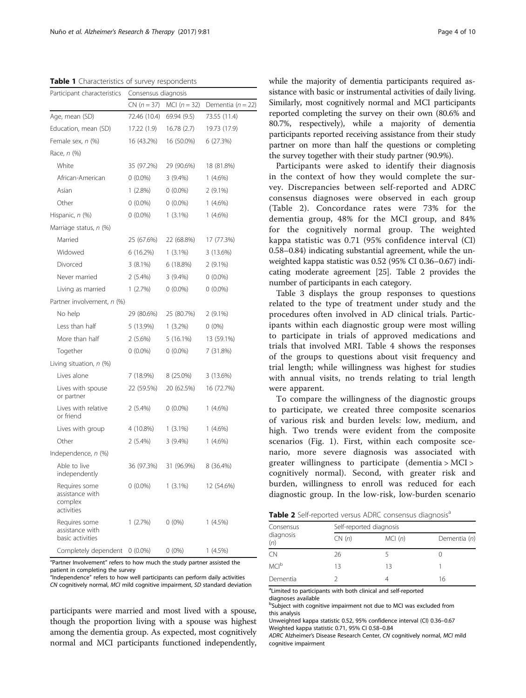<span id="page-3-0"></span>Table 1 Characteristics of survey respondents

| Participant characteristics                               | Consensus diagnosis |               |                       |  |
|-----------------------------------------------------------|---------------------|---------------|-----------------------|--|
|                                                           | $CN (n = 37)$       | $MCI(n = 32)$ | Dementia ( $n = 22$ ) |  |
| Age, mean (SD)                                            | 72.46 (10.4)        | 69.94 (9.5)   | 73.55 (11.4)          |  |
| Education, mean (SD)                                      | 17.22 (1.9)         | 16.78(2.7)    | 19.73 (17.9)          |  |
| Female sex, n (%)                                         | 16 (43.2%)          | 16 (50.0%)    | 6(27.3%)              |  |
| Race, <i>n</i> (%)                                        |                     |               |                       |  |
| White                                                     | 35 (97.2%)          | 29 (90.6%)    | 18 (81.8%)            |  |
| African-American                                          | $0(0.0\%)$          | $3(9.4\%)$    | $1(4.6\%)$            |  |
| Asian                                                     | $1(2.8\%)$          | $0(0.0\%)$    | $2(9.1\%)$            |  |
| Other                                                     | $0(0.0\%)$          | $0(0.0\%)$    | $1(4.6\%)$            |  |
| Hispanic, n (%)                                           | $0(0.0\%)$          | $1(3.1\%)$    | $1(4.6\%)$            |  |
| Marriage status, n (%)                                    |                     |               |                       |  |
| Married                                                   | 25 (67.6%)          | 22 (68.8%)    | 17 (77.3%)            |  |
| Widowed                                                   | 6 (16.2%)           | $1(3.1\%)$    | 3 (13.6%)             |  |
| Divorced                                                  | $3(8.1\%)$          | 6 (18.8%)     | $2(9.1\%)$            |  |
| Never married                                             | 2(5.4%)             | $3(9.4\%)$    | $0(0.0\%)$            |  |
| Living as married                                         | 1(2.7%)             | $0(0.0\%)$    | $0(0.0\%)$            |  |
| Partner involvement, n (%)                                |                     |               |                       |  |
| No help                                                   | 29 (80.6%)          | 25 (80.7%)    | $2(9.1\%)$            |  |
| Less than half                                            | 5 (13.9%)           | $1(3.2\%)$    | $0(0\%)$              |  |
| More than half                                            | 2(5.6%)             | $5(16.1\%)$   | 13 (59.1%)            |  |
| Together                                                  | $0(0.0\%)$          | $0(0.0\%)$    | 7 (31.8%)             |  |
| Living situation, $n$ (%)                                 |                     |               |                       |  |
| Lives alone                                               | 7 (18.9%)           | 8 (25.0%)     | 3(13.6%)              |  |
| Lives with spouse<br>or partner                           | 22 (59.5%)          | 20 (62.5%)    | 16 (72.7%)            |  |
| Lives with relative<br>or friend                          | 2(5.4%)             | $0(0.0\%)$    | $1(4.6\%)$            |  |
| Lives with group                                          | 4 (10.8%)           | $1(3.1\%)$    | $1(4.6\%)$            |  |
| Other                                                     | 2(5.4%)             | $3(9.4\%)$    | $1(4.6\%)$            |  |
| Independence, n (%)                                       |                     |               |                       |  |
| Able to live<br>independently                             | 36 (97.3%)          | 31 (96.9%)    | 8 (36.4%)             |  |
| Requires some<br>assistance with<br>complex<br>activities | $0(0.0\%)$          | $1(3.1\%)$    | 12 (54.6%)            |  |
| Requires some<br>assistance with<br>basic activities      | 1(2.7%)             | $0(0\%)$      | $1(4.5\%)$            |  |
| Completely dependent                                      | $0(0.0\%)$          | $0(0\%)$      | $1(4.5\%)$            |  |

"Partner Involvement" refers to how much the study partner assisted the patient in completing the survey

"Independence" refers to how well participants can perform daily activities CN cognitively normal, MCI mild cognitive impairment, SD standard deviation

participants were married and most lived with a spouse, though the proportion living with a spouse was highest among the dementia group. As expected, most cognitively normal and MCI participants functioned independently, while the majority of dementia participants required assistance with basic or instrumental activities of daily living. Similarly, most cognitively normal and MCI participants reported completing the survey on their own (80.6% and 80.7%, respectively), while a majority of dementia participants reported receiving assistance from their study partner on more than half the questions or completing the survey together with their study partner (90.9%).

Participants were asked to identify their diagnosis in the context of how they would complete the survey. Discrepancies between self-reported and ADRC consensus diagnoses were observed in each group (Table 2). Concordance rates were 73% for the dementia group, 48% for the MCI group, and 84% for the cognitively normal group. The weighted kappa statistic was 0.71 (95% confidence interval (CI) 0.58–0.84) indicating substantial agreement, while the unweighted kappa statistic was 0.52 (95% CI 0.36–0.67) indicating moderate agreement [\[25](#page-9-0)]. Table 2 provides the number of participants in each category.

Table [3](#page-4-0) displays the group responses to questions related to the type of treatment under study and the procedures often involved in AD clinical trials. Participants within each diagnostic group were most willing to participate in trials of approved medications and trials that involved MRI. Table [4](#page-4-0) shows the responses of the groups to questions about visit frequency and trial length; while willingness was highest for studies with annual visits, no trends relating to trial length were apparent.

To compare the willingness of the diagnostic groups to participate, we created three composite scenarios of various risk and burden levels: low, medium, and high. Two trends were evident from the composite scenarios (Fig. [1](#page-5-0)). First, within each composite scenario, more severe diagnosis was associated with greater willingness to participate (dementia > MCI > cognitively normal). Second, with greater risk and burden, willingness to enroll was reduced for each diagnostic group. In the low-risk, low-burden scenario

| Table 2 Self-reported versus ADRC consensus diagnosis <sup>a</sup> |  |  |
|--------------------------------------------------------------------|--|--|
|                                                                    |  |  |

| Self-reported diagnosis |        |              |  |
|-------------------------|--------|--------------|--|
| CN(n)                   | MCI(n) | Dementia (n) |  |
| 26                      |        |              |  |
| 13                      | 13     |              |  |
|                         |        | 16           |  |
|                         |        |              |  |

<sup>a</sup> Limited to participants with both clinical and self-reported diagnoses available

<sup>b</sup>Subject with cognitive impairment not due to MCI was excluded from this analysis

Unweighted kappa statistic 0.52, 95% confidence interval (CI) 0.36–0.67 Weighted kappa statistic 0.71, 95% CI 0.58–0.84

ADRC Alzheimer's Disease Research Center, CN cognitively normal, MCI mild cognitive impairment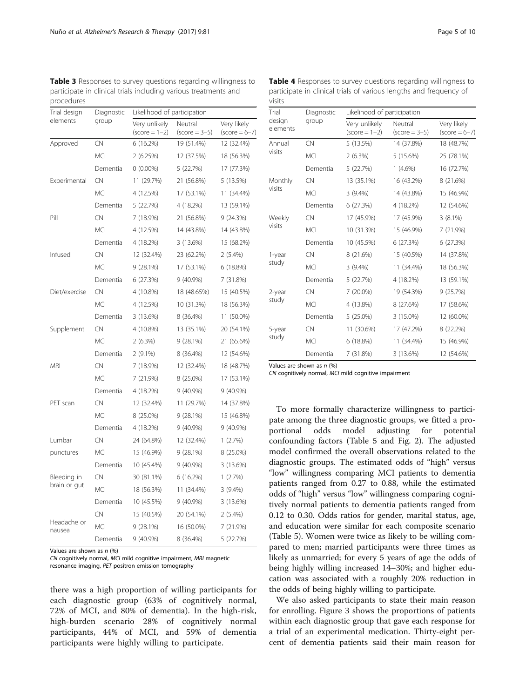<span id="page-4-0"></span>Table 3 Responses to survey questions regarding willingness to participate in clinical trials including various treatments and procedures

| Trial design          | Diagnostic | Likelihood of participation      |                            |                                  |  |
|-----------------------|------------|----------------------------------|----------------------------|----------------------------------|--|
| elements              | group      | Very unlikely<br>$(score = 1-2)$ | Neutral<br>$(score = 3-5)$ | Very likely<br>$(score = 6 - 7)$ |  |
| Approved              | <b>CN</b>  | 6 (16.2%)                        | 19 (51.4%)                 | 12 (32.4%)                       |  |
|                       | <b>MCI</b> | 2(6.25%)                         | 12 (37.5%)                 | 18 (56.3%)                       |  |
|                       | Dementia   | $0(0.00\%)$                      | 5 (22.7%)                  | 17 (77.3%)                       |  |
| Experimental          | CN         | 11 (29.7%)                       | 21 (56.8%)                 | 5 (13.5%)                        |  |
|                       | <b>MCI</b> | 4 (12.5%)                        | 17 (53.1%)                 | 11 (34.4%)                       |  |
|                       | Dementia   | 5 (22.7%)                        | 4 (18.2%)                  | 13 (59.1%)                       |  |
| Pill                  | CN.        | 7 (18.9%)                        | 21 (56.8%)                 | 9(24.3%)                         |  |
|                       | <b>MCI</b> | 4 (12.5%)                        | 14 (43.8%)                 | 14 (43.8%)                       |  |
|                       | Dementia   | 4 (18.2%)                        | 3 (13.6%)                  | 15 (68.2%)                       |  |
| Infused               | CN         | 12 (32.4%)                       | 23 (62.2%)                 | 2(5.4%)                          |  |
|                       | <b>MCI</b> | $9(28.1\%)$                      | 17 (53.1%)                 | 6(18.8%)                         |  |
|                       | Dementia   | 6 (27.3%)                        | $9(40.9\%)$                | 7 (31.8%)                        |  |
| Diet/exercise         | CN.        | 4 (10.8%)                        | 18 (48.65%)                | 15 (40.5%)                       |  |
|                       | <b>MCI</b> | 4 (12.5%)                        | 10 (31.3%)                 | 18 (56.3%)                       |  |
|                       | Dementia   | 3 (13.6%)                        | 8 (36.4%)                  | 11 (50.0%)                       |  |
| Supplement            | CN         | 4 (10.8%)                        | 13 (35.1%)                 | 20 (54.1%)                       |  |
|                       | <b>MCI</b> | 2(6.3%)                          | $9(28.1\%)$                | 21 (65.6%)                       |  |
|                       | Dementia   | $2(9.1\%)$                       | 8 (36.4%)                  | 12 (54.6%)                       |  |
| MRI                   | <b>CN</b>  | 7 (18.9%)                        | 12 (32.4%)                 | 18 (48.7%)                       |  |
|                       | <b>MCI</b> | 7 (21.9%)                        | 8 (25.0%)                  | 17 (53.1%)                       |  |
|                       | Dementia   | 4 (18.2%)                        | $9(40.9\%)$                | 9 (40.9%)                        |  |
| PET scan              | CN.        | 12 (32.4%)                       | 11 (29.7%)                 | 14 (37.8%)                       |  |
|                       | <b>MCI</b> | 8 (25.0%)                        | $9(28.1\%)$                | 15 (46.8%)                       |  |
|                       | Dementia   | 4 (18.2%)                        | $9(40.9\%)$                | $9(40.9\%)$                      |  |
| Lumbar                | CN.        | 24 (64.8%)                       | 12 (32.4%)                 | 1(2.7%)                          |  |
| punctures             | <b>MCI</b> | 15 (46.9%)                       | 9(28.1%)                   | 8 (25.0%)                        |  |
|                       | Dementia   | 10 (45.4%)                       | 9 (40.9%)                  | 3 (13.6%)                        |  |
| Bleeding in           | CN.        | 30 (81.1%)                       | 6(16.2%)                   | 1(2.7%)                          |  |
| brain or gut          | <b>MCI</b> | 18 (56.3%)                       | 11 (34.4%)                 | $3(9.4\%)$                       |  |
|                       | Dementia   | 10 (45.5%)                       | $9(40.9\%)$                | 3 (13.6%)                        |  |
|                       | CN         | 15 (40.5%)                       | 20 (54.1%)                 | $2(5.4\%)$                       |  |
| Headache or<br>nausea | <b>MCI</b> | 9(28.1%)                         | 16 (50.0%)                 | 7 (21.9%)                        |  |
|                       | Dementia   | 9 (40.9%)                        | 8 (36.4%)                  | 5 (22.7%)                        |  |

Values are shown as  $n$  (%)

CN cognitively normal, MCI mild cognitive impairment, MRI magnetic resonance imaging, PET positron emission tomography

there was a high proportion of willing participants for each diagnostic group (63% of cognitively normal, 72% of MCI, and 80% of dementia). In the high-risk, high-burden scenario 28% of cognitively normal participants, 44% of MCI, and 59% of dementia participants were highly willing to participate.

Table 4 Responses to survey questions regarding willingness to participate in clinical trials of various lengths and frequency of visits

| Trial<br>design<br>elements | Diagnostic<br>group | Likelihood of participation      |                            |                                  |  |
|-----------------------------|---------------------|----------------------------------|----------------------------|----------------------------------|--|
|                             |                     | Very unlikely<br>$(score = 1-2)$ | Neutral<br>$(score = 3-5)$ | Very likely<br>$(score = 6 - 7)$ |  |
| Annual<br>visits            | <b>CN</b>           | 5 (13.5%)                        | 14 (37.8%)                 | 18 (48.7%)                       |  |
|                             | <b>MCI</b>          | $2(6.3\%)$                       | 5 (15.6%)                  | 25 (78.1%)                       |  |
|                             | Dementia            | 5 (22.7%)                        | $1(4.6\%)$                 | 16 (72.7%)                       |  |
| Monthly                     | CN                  | 13 (35.1%)                       | 16 (43.2%)                 | 8 (21.6%)                        |  |
| visits                      | <b>MCI</b>          | $3(9.4\%)$                       | 14 (43.8%)                 | 15 (46.9%)                       |  |
|                             | Dementia            | 6 (27.3%)                        | 4 (18.2%)                  | 12 (54.6%)                       |  |
| Weekly                      | <b>CN</b>           | 17 (45.9%)                       | 17 (45.9%)                 | 3(8.1%)                          |  |
| visits                      | <b>MCI</b>          | 10 (31.3%)                       | 15 (46.9%)                 | 7 (21.9%)                        |  |
|                             | Dementia            | 10 (45.5%)                       | 6 (27.3%)                  | 6 (27.3%)                        |  |
| 1-year<br>study             | <b>CN</b>           | 8 (21.6%)                        | 15 (40.5%)                 | 14 (37.8%)                       |  |
|                             | <b>MCI</b>          | $3(9.4\%)$                       | 11 (34.4%)                 | 18 (56.3%)                       |  |
|                             | Dementia            | 5 (22.7%)                        | 4 (18.2%)                  | 13 (59.1%)                       |  |
| 2-year<br>study             | <b>CN</b>           | 7 (20.0%)                        | 19 (54.3%)                 | 9(25.7%)                         |  |
|                             | <b>MCI</b>          | 4 (13.8%)                        | 8 (27.6%)                  | 17 (58.6%)                       |  |
|                             | Dementia            | 5 (25.0%)                        | 3 (15.0%)                  | 12 (60.0%)                       |  |
| 5-year<br>study             | <b>CN</b>           | 11 (30.6%)                       | 17 (47.2%)                 | 8 (22.2%)                        |  |
|                             | <b>MCI</b>          | 6 (18.8%)                        | 11 (34.4%)                 | 15 (46.9%)                       |  |
|                             | Dementia            | 7 (31.8%)                        | 3 (13.6%)                  | 12 (54.6%)                       |  |

Values are shown as  $n$  (%)

CN cognitively normal, MCI mild cognitive impairment

To more formally characterize willingness to participate among the three diagnostic groups, we fitted a proportional odds model adjusting for potential confounding factors (Table [5](#page-5-0) and Fig. [2](#page-6-0)). The adjusted model confirmed the overall observations related to the diagnostic groups. The estimated odds of "high" versus "low" willingness comparing MCI patients to dementia patients ranged from 0.27 to 0.88, while the estimated odds of "high" versus "low" willingness comparing cognitively normal patients to dementia patients ranged from 0.12 to 0.30. Odds ratios for gender, marital status, age, and education were similar for each composite scenario (Table [5\)](#page-5-0). Women were twice as likely to be willing compared to men; married participants were three times as likely as unmarried; for every 5 years of age the odds of being highly willing increased 14–30%; and higher education was associated with a roughly 20% reduction in the odds of being highly willing to participate.

We also asked participants to state their main reason for enrolling. Figure [3](#page-6-0) shows the proportions of patients within each diagnostic group that gave each response for a trial of an experimental medication. Thirty-eight percent of dementia patients said their main reason for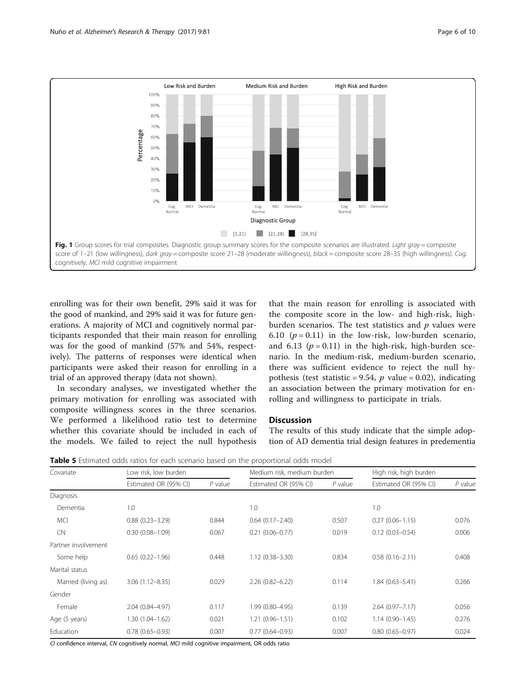<span id="page-5-0"></span>

enrolling was for their own benefit, 29% said it was for the good of mankind, and 29% said it was for future generations. A majority of MCI and cognitively normal participants responded that their main reason for enrolling was for the good of mankind (57% and 54%, respectively). The patterns of responses were identical when participants were asked their reason for enrolling in a trial of an approved therapy (data not shown).

In secondary analyses, we investigated whether the primary motivation for enrolling was associated with composite willingness scores in the three scenarios. We performed a likelihood ratio test to determine whether this covariate should be included in each of the models. We failed to reject the null hypothesis

that the main reason for enrolling is associated with the composite score in the low- and high-risk, highburden scenarios. The test statistics and  $p$  values were 6.10 ( $p = 0.11$ ) in the low-risk, low-burden scenario, and 6.13 ( $p = 0.11$ ) in the high-risk, high-burden scenario. In the medium-risk, medium-burden scenario, there was sufficient evidence to reject the null hypothesis (test statistic = 9.54,  $p$  value = 0.02), indicating an association between the primary motivation for enrolling and willingness to participate in trials.

## **Discussion**

The results of this study indicate that the simple adoption of AD dementia trial design features in predementia

**Table 5** Estimated odds ratios for each scenario based on the proportional odds model

| Covariate           | Low risk, low burden  |           | Medium risk, medium burden |           | High risk, high burden |           |
|---------------------|-----------------------|-----------|----------------------------|-----------|------------------------|-----------|
|                     | Estimated OR (95% CI) | $P$ value | Estimated OR (95% CI)      | $P$ value | Estimated OR (95% CI)  | $P$ value |
| Diagnosis           |                       |           |                            |           |                        |           |
| Dementia            | 1.0                   |           | 1.0                        |           | 1.0                    |           |
| <b>MCI</b>          | $0.88(0.23 - 3.29)$   | 0.844     | $0.64(0.17 - 2.40)$        | 0.507     | $0.27(0.06 - 1.15)$    | 0.076     |
| <b>CN</b>           | $0.30(0.08 - 1.09)$   | 0.067     | $0.21(0.06 - 0.77)$        | 0.019     | $0.12(0.03 - 0.54)$    | 0.006     |
| Partner involvement |                       |           |                            |           |                        |           |
| Some help           | $0.65(0.22 - 1.96)$   | 0.448     | $1.12(0.38 - 3.30)$        | 0.834     | $0.58(0.16 - 2.11)$    | 0.408     |
| Marital status      |                       |           |                            |           |                        |           |
| Married (living as) | $3.06(1.12 - 8.35)$   | 0.029     | $2.26(0.82 - 6.22)$        | 0.114     | $1.84(0.63 - 5.41)$    | 0.266     |
| Gender              |                       |           |                            |           |                        |           |
| Female              | 2.04 (0.84-4.97)      | 0.117     | 1.99 (0.80-4.95)           | 0.139     | $2.64(0.97 - 7.17)$    | 0.056     |
| Age (5 years)       | $1.30(1.04 - 1.62)$   | 0.021     | $1.21(0.96 - 1.51)$        | 0.102     | $1.14(0.90 - 1.45)$    | 0.276     |
| <b>Education</b>    | $0.78(0.65 - 0.93)$   | 0.007     | $0.77(0.64 - 0.93)$        | 0.007     | $0.80(0.65 - 0.97)$    | 0.024     |

CI confidence interval, CN cognitively normal, MCI mild cognitive impairment, OR odds ratio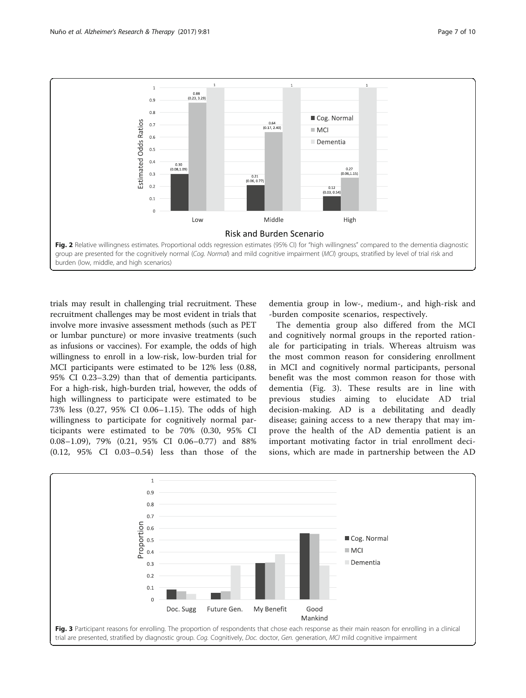<span id="page-6-0"></span>

trials may result in challenging trial recruitment. These recruitment challenges may be most evident in trials that involve more invasive assessment methods (such as PET or lumbar puncture) or more invasive treatments (such as infusions or vaccines). For example, the odds of high willingness to enroll in a low-risk, low-burden trial for MCI participants were estimated to be 12% less (0.88, 95% CI 0.23–3.29) than that of dementia participants. For a high-risk, high-burden trial, however, the odds of high willingness to participate were estimated to be 73% less (0.27, 95% CI 0.06–1.15). The odds of high willingness to participate for cognitively normal participants were estimated to be 70% (0.30, 95% CI 0.08–1.09), 79% (0.21, 95% CI 0.06–0.77) and 88% (0.12, 95% CI 0.03–0.54) less than those of the dementia group in low-, medium-, and high-risk and -burden composite scenarios, respectively.

The dementia group also differed from the MCI and cognitively normal groups in the reported rationale for participating in trials. Whereas altruism was the most common reason for considering enrollment in MCI and cognitively normal participants, personal benefit was the most common reason for those with dementia (Fig. 3). These results are in line with previous studies aiming to elucidate AD trial decision-making. AD is a debilitating and deadly disease; gaining access to a new therapy that may improve the health of the AD dementia patient is an important motivating factor in trial enrollment decisions, which are made in partnership between the AD

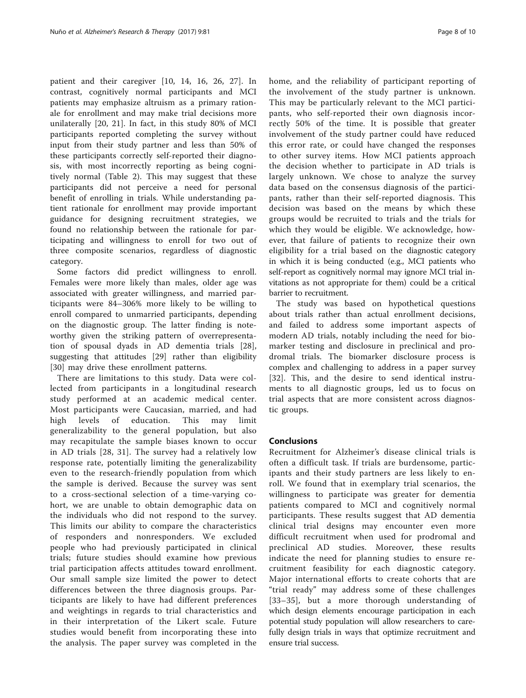patient and their caregiver [[10](#page-8-0), [14, 16](#page-8-0), [26, 27](#page-9-0)]. In contrast, cognitively normal participants and MCI patients may emphasize altruism as a primary rationale for enrollment and may make trial decisions more unilaterally [\[20](#page-8-0), [21\]](#page-8-0). In fact, in this study 80% of MCI participants reported completing the survey without input from their study partner and less than 50% of these participants correctly self-reported their diagnosis, with most incorrectly reporting as being cognitively normal (Table [2](#page-3-0)). This may suggest that these participants did not perceive a need for personal benefit of enrolling in trials. While understanding patient rationale for enrollment may provide important guidance for designing recruitment strategies, we found no relationship between the rationale for participating and willingness to enroll for two out of three composite scenarios, regardless of diagnostic category.

Some factors did predict willingness to enroll. Females were more likely than males, older age was associated with greater willingness, and married participants were 84–306% more likely to be willing to enroll compared to unmarried participants, depending on the diagnostic group. The latter finding is noteworthy given the striking pattern of overrepresentation of spousal dyads in AD dementia trials [\[28](#page-9-0)], suggesting that attitudes [[29\]](#page-9-0) rather than eligibility [[30\]](#page-9-0) may drive these enrollment patterns.

There are limitations to this study. Data were collected from participants in a longitudinal research study performed at an academic medical center. Most participants were Caucasian, married, and had high levels of education. This may limit generalizability to the general population, but also may recapitulate the sample biases known to occur in AD trials [\[28](#page-9-0), [31\]](#page-9-0). The survey had a relatively low response rate, potentially limiting the generalizability even to the research-friendly population from which the sample is derived. Because the survey was sent to a cross-sectional selection of a time-varying cohort, we are unable to obtain demographic data on the individuals who did not respond to the survey. This limits our ability to compare the characteristics of responders and nonresponders. We excluded people who had previously participated in clinical trials; future studies should examine how previous trial participation affects attitudes toward enrollment. Our small sample size limited the power to detect differences between the three diagnosis groups. Participants are likely to have had different preferences and weightings in regards to trial characteristics and in their interpretation of the Likert scale. Future studies would benefit from incorporating these into the analysis. The paper survey was completed in the home, and the reliability of participant reporting of the involvement of the study partner is unknown. This may be particularly relevant to the MCI participants, who self-reported their own diagnosis incorrectly 50% of the time. It is possible that greater involvement of the study partner could have reduced this error rate, or could have changed the responses to other survey items. How MCI patients approach the decision whether to participate in AD trials is largely unknown. We chose to analyze the survey data based on the consensus diagnosis of the participants, rather than their self-reported diagnosis. This decision was based on the means by which these groups would be recruited to trials and the trials for which they would be eligible. We acknowledge, however, that failure of patients to recognize their own eligibility for a trial based on the diagnostic category in which it is being conducted (e.g., MCI patients who self-report as cognitively normal may ignore MCI trial invitations as not appropriate for them) could be a critical barrier to recruitment.

The study was based on hypothetical questions about trials rather than actual enrollment decisions, and failed to address some important aspects of modern AD trials, notably including the need for biomarker testing and disclosure in preclinical and prodromal trials. The biomarker disclosure process is complex and challenging to address in a paper survey [[32\]](#page-9-0). This, and the desire to send identical instruments to all diagnostic groups, led us to focus on trial aspects that are more consistent across diagnostic groups.

## Conclusions

Recruitment for Alzheimer's disease clinical trials is often a difficult task. If trials are burdensome, participants and their study partners are less likely to enroll. We found that in exemplary trial scenarios, the willingness to participate was greater for dementia patients compared to MCI and cognitively normal participants. These results suggest that AD dementia clinical trial designs may encounter even more difficult recruitment when used for prodromal and preclinical AD studies. Moreover, these results indicate the need for planning studies to ensure recruitment feasibility for each diagnostic category. Major international efforts to create cohorts that are "trial ready" may address some of these challenges [[33](#page-9-0)–[35\]](#page-9-0), but a more thorough understanding of which design elements encourage participation in each potential study population will allow researchers to carefully design trials in ways that optimize recruitment and ensure trial success.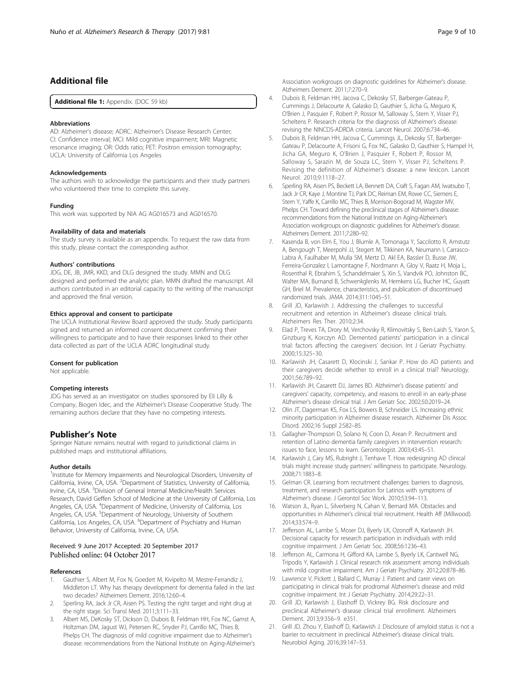## <span id="page-8-0"></span>Additional file

[Additional file 1:](dx.doi.org/10.1186/s13195-017-0311-5) Appendix. (DOC 59 kb)

#### Abbreviations

AD: Alzheimer's disease; ADRC: Alzheimer's Disease Research Center; CI: Confidence interval; MCI: Mild cognitive impairment; MRI: Magnetic resonance imaging; OR: Odds ratio; PET: Positron emission tomography; UCLA: University of California Los Angeles

#### Acknowledgements

The authors wish to acknowledge the participants and their study partners who volunteered their time to complete this survey.

#### Funding

This work was supported by NIA AG AG016573 and AG016570.

### Availability of data and materials

The study survey is available as an appendix. To request the raw data from this study, please contact the corresponding author.

#### Authors' contributions

JDG, DE, JB, JMR, KKD, and DLG designed the study. MMN and DLG designed and performed the analytic plan. MMN drafted the manuscript. All authors contributed in an editorial capacity to the writing of the manuscript and approved the final version.

#### Ethics approval and consent to participate

The UCLA Institutional Review Board approved the study. Study participants signed and returned an informed consent document confirming their willingness to participate and to have their responses linked to their other data collected as part of the UCLA ADRC longitudinal study.

#### Consent for publication

Not applicable.

#### Competing interests

JDG has served as an investigator on studies sponsored by Eli Lilly & Company, Biogen Idec, and the Alzheimer's Disease Cooperative Study. The remaining authors declare that they have no competing interests.

#### Publisher's Note

Springer Nature remains neutral with regard to jurisdictional claims in published maps and institutional affiliations.

#### Author details

<sup>1</sup>Institute for Memory Impairments and Neurological Disorders, University of California, Irvine, CA, USA. <sup>2</sup>Department of Statistics, University of California, Irvine, CA, USA. <sup>3</sup>Division of General Internal Medicine/Health Services Research, David Geffen School of Medicine at the University of California, Los Angeles, CA, USA. <sup>4</sup>Department of Medicine, University of California, Los Angeles, CA, USA. <sup>5</sup>Department of Neurology, University of Southern California, Los Angeles, CA, USA. <sup>6</sup>Department of Psychiatry and Human Behavior, University of California, Irvine, CA, USA.

#### Received: 9 June 2017 Accepted: 20 September 2017 Published online: 04 October 2017

#### References

- 1. Gauthier S, Albert M, Fox N, Goedert M, Kivipelto M, Mestre-Ferrandiz J, Middleton LT. Why has therapy development for dementia failed in the last two decades? Alzheimers Dement. 2016;12:60–4.
- 2. Sperling RA, Jack Jr CR, Aisen PS. Testing the right target and right drug at the right stage. Sci Transl Med. 2011;3:111–33.
- 3. Albert MS, DeKosky ST, Dickson D, Dubois B, Feldman HH, Fox NC, Gamst A, Holtzman DM, Jagust WJ, Petersen RC, Snyder PJ, Carrillo MC, Thies B, Phelps CH. The diagnosis of mild cognitive impairment due to Alzheimer's disease: recommendations from the National Institute on Aging-Alzheimer's
- 4. Dubois B, Feldman HH, Jacova C, Dekosky ST, Barberger-Gateau P, Cummings J, Delacourte A, Galasko D, Gauthier S, Jicha G, Meguro K, O'Brien J, Pasquier F, Robert P, Rossor M, Salloway S, Stern Y, Visser PJ, Scheltens P. Research criteria for the diagnosis of Alzheimer's disease: revising the NINCDS-ADRDA criteria. Lancet Neurol. 2007;6:734–46.
- 5. Dubois B, Feldman HH, Jacova C, Cummings JL, Dekosky ST, Barberger-Gateau P, Delacourte A, Frisoni G, Fox NC, Galasko D, Gauthier S, Hampel H, Jicha GA, Meguro K, O'Brien J, Pasquier F, Robert P, Rossor M, Salloway S, Sarazin M, de Souza LC, Stern Y, Visser PJ, Scheltens P. Revising the definition of Alzheimer's disease: a new lexicon. Lancet Neurol. 2010;9:1118–27.
- 6. Sperling RA, Aisen PS, Beckett LA, Bennett DA, Craft S, Fagan AM, Iwatsubo T, Jack Jr CR, Kaye J, Montine TJ, Park DC, Reiman EM, Rowe CC, Siemers E, Stern Y, Yaffe K, Carrillo MC, Thies B, Morrison-Bogorad M, Wagster MV, Phelps CH. Toward defining the preclinical stages of Alzheimer's disease: recommendations from the National Institute on Aging-Alzheimer's Association workgroups on diagnostic guidelines for Alzheimer's disease. Alzheimers Dement. 2011;7:280–92.
- 7. Kasenda B, von Elm E, You J, Blumle A, Tomonaga Y, Saccilotto R, Amstutz A, Bengough T, Meerpohl JJ, Stegert M, Tikkinen KA, Neumann I, Carrasco-Labra A, Faulhaber M, Mulla SM, Mertz D, Akl EA, Bassler D, Busse JW, Ferreira-Gonzalez I, Lamontagne F, Nordmann A, Gloy V, Raatz H, Moja L, Rosenthal R, Ebrahim S, Schandelmaier S, Xin S, Vandvik PO, Johnston BC, Walter MA, Burnand B, Schwenkglenks M, Hemkens LG, Bucher HC, Guyatt GH, Briel M. Prevalence, characteristics, and publication of discontinued randomized trials. JAMA. 2014;311:1045–51.
- 8. Grill JD, Karlawish J. Addressing the challenges to successful recruitment and retention in Alzheimer's disease clinical trials. Alzheimers Res Ther. 2010;2:34.
- Elad P, Treves TA, Drory M, Verchovsky R, Klimovitsky S, Ben-Laish S, Yaron S, Ginzburg K, Korczyn AD. Demented patients' participation in a clinical trial: factors affecting the caregivers' decision. Int J Geriatr Psychiatry. 2000;15:325–30.
- 10. Karlawish JH, Casarett D, Klocinski J, Sankar P. How do AD patients and their caregivers decide whether to enroll in a clinical trial? Neurology. 2001;56:789–92.
- 11. Karlawish JH, Casarett DJ, James BD. Alzheimer's disease patients' and caregivers' capacity, competency, and reasons to enroll in an early-phase Alzheimer's disease clinical trial. J Am Geriatr Soc. 2002;50:2019–24.
- 12. Olin JT, Dagerman KS, Fox LS, Bowers B, Schneider LS. Increasing ethnic minority participation in Alzheimer disease research. Alzheimer Dis Assoc Disord. 2002;16 Suppl 2:S82–85.
- 13. Gallagher-Thompson D, Solano N, Coon D, Arean P. Recruitment and retention of Latino dementia family caregivers in intervention research: issues to face, lessons to learn. Gerontologist. 2003;43:45–51.
- 14. Karlawish J, Cary MS, Rubright J, Tenhave T. How redesigning AD clinical trials might increase study partners' willingness to participate. Neurology. 2008;71:1883–8.
- 15. Gelman CR. Learning from recruitment challenges: barriers to diagnosis, treatment, and research participation for Latinos with symptoms of Alzheimer's disease. J Gerontol Soc Work. 2010;53:94–113.
- 16. Watson JL, Ryan L, Silverberg N, Cahan V, Bernard MA. Obstacles and opportunities in Alzheimer's clinical trial recruitment. Health Aff (Millwood). 2014;33:574–9.
- 17. Jefferson AL, Lambe S, Moser DJ, Byerly LK, Ozonoff A, Karlawish JH. Decisional capacity for research participation in individuals with mild cognitive impairment. J Am Geriatr Soc. 2008;56:1236–43.
- 18. Jefferson AL, Carmona H, Gifford KA, Lambe S, Byerly LK, Cantwell NG, Tripodis Y, Karlawish J. Clinical research risk assessment among individuals with mild cognitive impairment. Am J Geriatr Psychiatry. 2012;20:878–86.
- 19. Lawrence V, Pickett J, Ballard C, Murray J. Patient and carer views on participating in clinical trials for prodromal Alzheimer's disease and mild cognitive impairment. Int J Geriatr Psychiatry. 2014;29:22–31.
- 20. Grill JD, Karlawish J, Elashoff D, Vickrey BG. Risk disclosure and preclinical Alzheimer's disease clinical trial enrollment. Alzheimers Dement. 2013;9:356–9. e351.
- 21. Grill JD, Zhou Y, Elashoff D, Karlawish J. Disclosure of amyloid status is not a barrier to recruitment in preclinical Alzheimer's disease clinical trials. Neurobiol Aging. 2016;39:147–53.